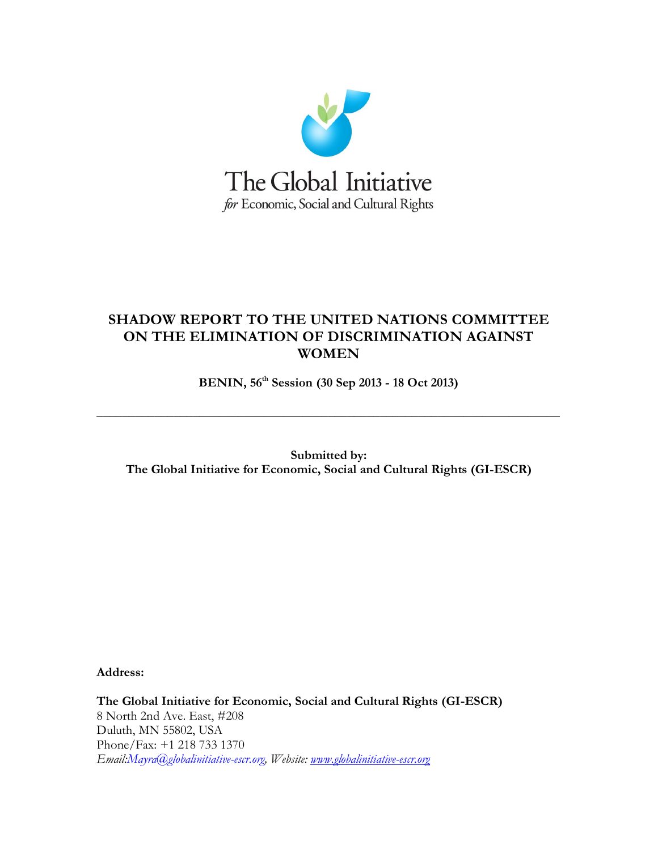

## **SHADOW REPORT TO THE UNITED NATIONS COMMITTEE ON THE ELIMINATION OF DISCRIMINATION AGAINST WOMEN**

**BENIN, 56th Session (30 Sep 2013 - 18 Oct 2013)**

**\_\_\_\_\_\_\_\_\_\_\_\_\_\_\_\_\_\_\_\_\_\_\_\_\_\_\_\_\_\_\_\_\_\_\_\_\_\_\_\_\_\_\_\_\_\_\_\_\_\_\_\_\_\_\_\_\_\_\_\_\_\_\_\_\_\_\_\_\_\_\_\_**

**Submitted by: The Global Initiative for Economic, Social and Cultural Rights (GI-ESCR)** 

**Address:**

**The Global Initiative for Economic, Social and Cultural Rights (GI-ESCR)** 8 North 2nd Ave. East, #208 Duluth, MN 55802, USA Phone/Fax: +1 218 733 1370 *Email:Mayra@globalinitiative-escr.org, Website: [www.globalinitiative-escr.org](http://www.globalinitiative-escr.org/)*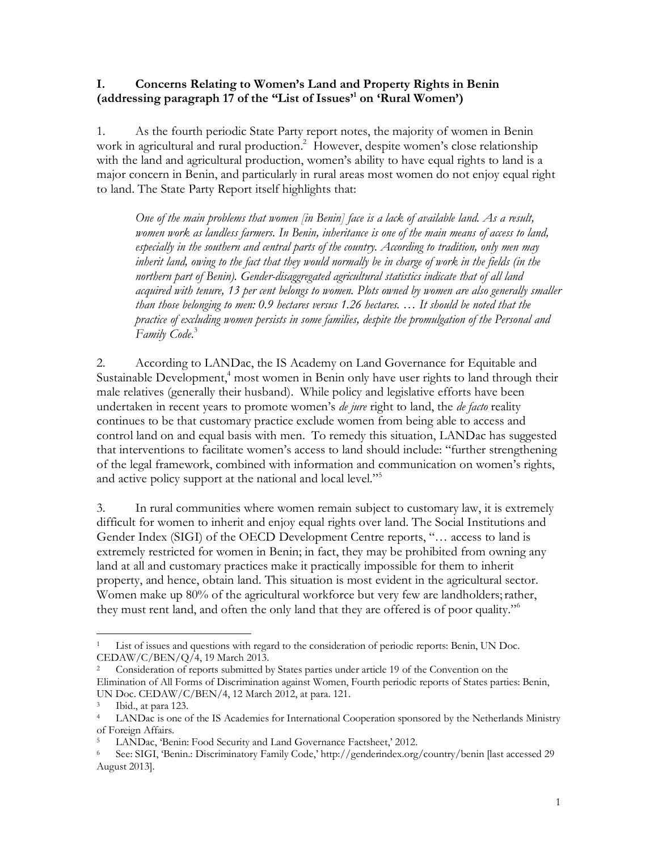## **I. Concerns Relating to Women's Land and Property Rights in Benin (addressing paragraph 17 of the "List of Issues' 1 on 'Rural Women')**

1. As the fourth periodic State Party report notes, the majority of women in Benin work in agricultural and rural production.<sup>2</sup> However, despite women's close relationship with the land and agricultural production, women's ability to have equal rights to land is a major concern in Benin, and particularly in rural areas most women do not enjoy equal right to land. The State Party Report itself highlights that:

*One of the main problems that women [in Benin] face is a lack of available land. As a result, women work as landless farmers. In Benin, inheritance is one of the main means of access to land, especially in the southern and central parts of the country. According to tradition, only men may*  inherit land, owing to the fact that they would normally be in charge of work in the fields (in the *northern part of Benin). Gender-disaggregated agricultural statistics indicate that of all land acquired with tenure, 13 per cent belongs to women. Plots owned by women are also generally smaller than those belonging to men: 0.9 hectares versus 1.26 hectares. … It should be noted that the practice of excluding women persists in some families, despite the promulgation of the Personal and Family Code*. 3

2. According to LANDac, the IS Academy on Land Governance for Equitable and Sustainable Development,<sup>4</sup> most women in Benin only have user rights to land through their male relatives (generally their husband). While policy and legislative efforts have been undertaken in recent years to promote women's *de jure* right to land, the *de facto* reality continues to be that customary practice exclude women from being able to access and control land on and equal basis with men. To remedy this situation, LANDac has suggested that interventions to facilitate women's access to land should include: "further strengthening of the legal framework, combined with information and communication on women's rights, and active policy support at the national and local level."<sup>5</sup>

3. In rural communities where women remain subject to customary law, it is extremely difficult for women to inherit and enjoy equal rights over land. The Social Institutions and Gender Index (SIGI) of the OECD Development Centre reports, "… access to land is extremely restricted for women in Benin; in fact, they may be prohibited from owning any land at all and customary practices make it practically impossible for them to inherit property, and hence, obtain land. This situation is most evident in the agricultural sector. Women make up 80% of the agricultural workforce but very few are landholders; rather, they must rent land, and often the only land that they are offered is of poor quality."<sup>6</sup>

 $\overline{a}$ List of issues and questions with regard to the consideration of periodic reports: Benin, UN Doc. CEDAW/C/BEN/Q/4, 19 March 2013.

<sup>2</sup> Consideration of reports submitted by States parties under article 19 of the Convention on the Elimination of All Forms of Discrimination against Women, Fourth periodic reports of States parties: Benin, UN Doc. CEDAW/C/BEN/4, 12 March 2012, at para. 121.

 $3$  Ibid., at para 123.

<sup>4</sup> LANDac is one of the IS Academies for International Cooperation sponsored by the Netherlands Ministry of Foreign Affairs.

LANDac, 'Benin: Food Security and Land Governance Factsheet,' 2012.

<sup>6</sup> See: SIGI, 'Benin.: Discriminatory Family Code,' http://genderindex.org/country/benin [last accessed 29 August 2013].